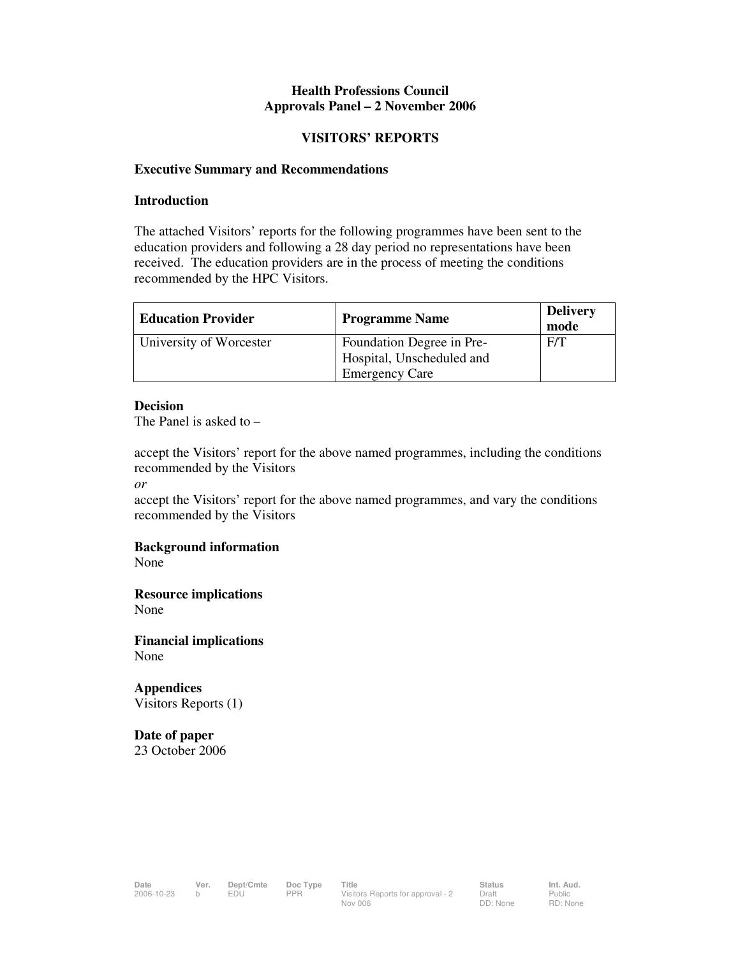## **Health Professions Council Approvals Panel – 2 November 2006**

#### **VISITORS' REPORTS**

#### **Executive Summary and Recommendations**

#### **Introduction**

The attached Visitors' reports for the following programmes have been sent to the education providers and following a 28 day period no representations have been received. The education providers are in the process of meeting the conditions recommended by the HPC Visitors.

| <b>Education Provider</b> | <b>Programme Name</b>            | <b>Delivery</b><br>mode |
|---------------------------|----------------------------------|-------------------------|
| University of Worcester   | <b>Foundation Degree in Pre-</b> | F/T                     |
|                           | Hospital, Unscheduled and        |                         |
|                           | <b>Emergency Care</b>            |                         |

#### **Decision**

The Panel is asked to –

accept the Visitors' report for the above named programmes, including the conditions recommended by the Visitors

*or* 

accept the Visitors' report for the above named programmes, and vary the conditions recommended by the Visitors

## **Background information**

None

**Resource implications**  None

**Financial implications**  None

**Appendices**  Visitors Reports (1)

**Date of paper**  23 October 2006

Public RD: None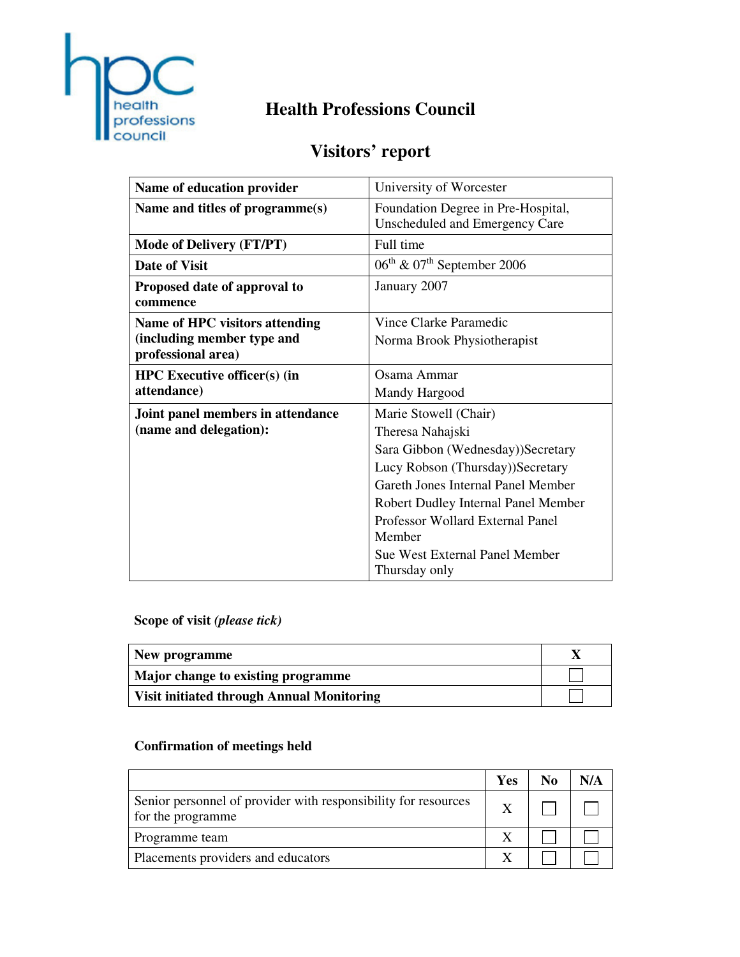

# **Health Professions Council**

# **Visitors' report**

| Name of education provider                       | University of Worcester                                              |
|--------------------------------------------------|----------------------------------------------------------------------|
| Name and titles of programme(s)                  | Foundation Degree in Pre-Hospital,<br>Unscheduled and Emergency Care |
| <b>Mode of Delivery (FT/PT)</b>                  | Full time                                                            |
| Date of Visit                                    | $06^{\text{th}}$ & $07^{\text{th}}$ September 2006                   |
| Proposed date of approval to<br>commence         | January 2007                                                         |
| Name of HPC visitors attending                   | Vince Clarke Paramedic                                               |
| (including member type and<br>professional area) | Norma Brook Physiotherapist                                          |
| <b>HPC</b> Executive officer(s) (in              | Osama Ammar                                                          |
| attendance)                                      | Mandy Hargood                                                        |
| Joint panel members in attendance                | Marie Stowell (Chair)                                                |
| (name and delegation):                           | Theresa Nahajski                                                     |
|                                                  | Sara Gibbon (Wednesday))Secretary                                    |
|                                                  | Lucy Robson (Thursday))Secretary                                     |
|                                                  | Gareth Jones Internal Panel Member                                   |
|                                                  | Robert Dudley Internal Panel Member                                  |
|                                                  | Professor Wollard External Panel                                     |
|                                                  | Member                                                               |
|                                                  | <b>Sue West External Panel Member</b>                                |
|                                                  | Thursday only                                                        |

# **Scope of visit** *(please tick)*

| New programme                                    |  |
|--------------------------------------------------|--|
| Major change to existing programme               |  |
| <b>Visit initiated through Annual Monitoring</b> |  |

# **Confirmation of meetings held**

|                                                                                     | Yes | No |  |
|-------------------------------------------------------------------------------------|-----|----|--|
| Senior personnel of provider with responsibility for resources<br>for the programme |     |    |  |
| Programme team                                                                      |     |    |  |
| Placements providers and educators                                                  |     |    |  |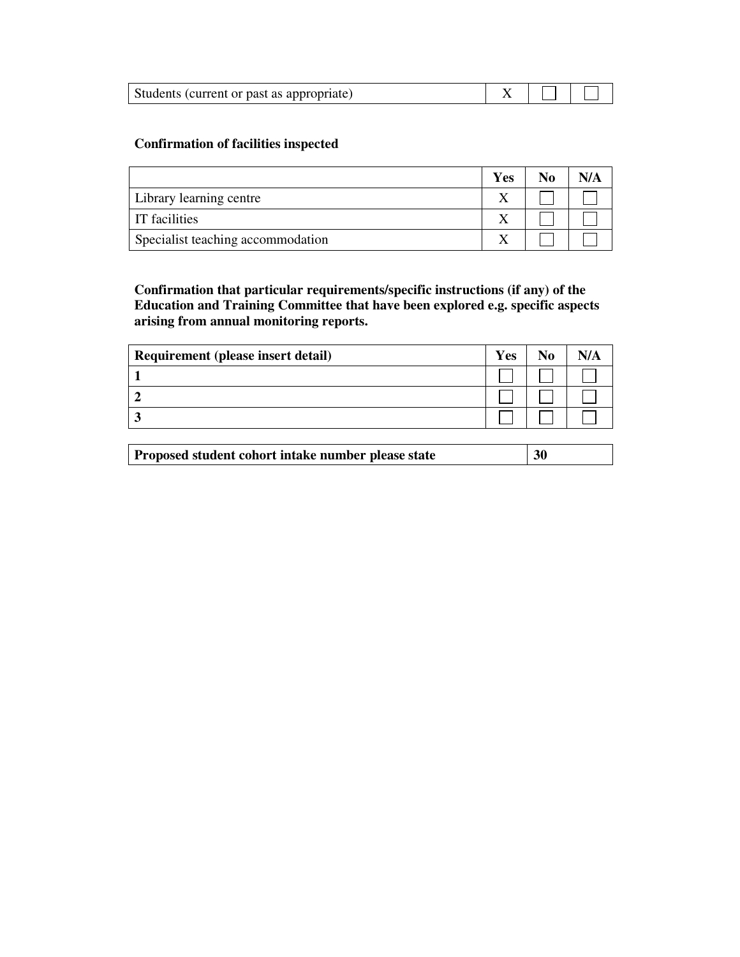| Students (current or past as appropriate) |  |  |  |
|-------------------------------------------|--|--|--|
|-------------------------------------------|--|--|--|

# **Confirmation of facilities inspected**

|                                   | Yes | No | N/A |
|-----------------------------------|-----|----|-----|
| Library learning centre           |     |    |     |
| <b>IT</b> facilities              |     |    |     |
| Specialist teaching accommodation |     |    |     |

**Confirmation that particular requirements/specific instructions (if any) of the Education and Training Committee that have been explored e.g. specific aspects arising from annual monitoring reports.** 

| Requirement (please insert detail) | Yes |  |
|------------------------------------|-----|--|
|                                    |     |  |
|                                    |     |  |
|                                    |     |  |

| 30<br>Proposed student cohort intake number please state |
|----------------------------------------------------------|
|----------------------------------------------------------|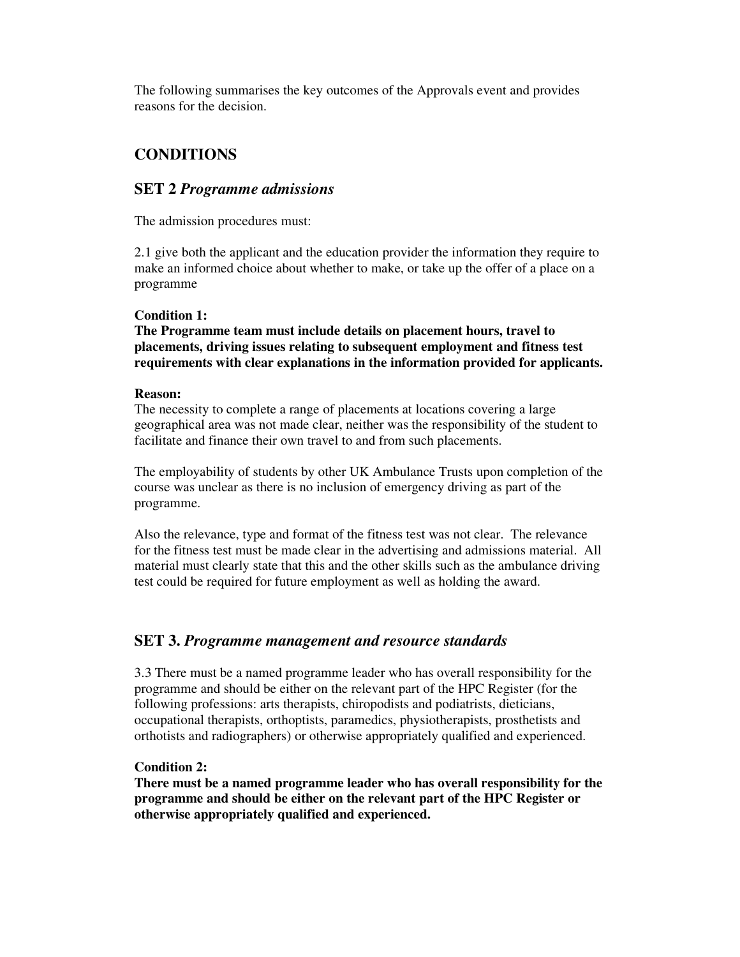The following summarises the key outcomes of the Approvals event and provides reasons for the decision.

# **CONDITIONS**

# **SET 2** *Programme admissions*

The admission procedures must:

2.1 give both the applicant and the education provider the information they require to make an informed choice about whether to make, or take up the offer of a place on a programme

#### **Condition 1:**

**The Programme team must include details on placement hours, travel to placements, driving issues relating to subsequent employment and fitness test requirements with clear explanations in the information provided for applicants.** 

#### **Reason:**

The necessity to complete a range of placements at locations covering a large geographical area was not made clear, neither was the responsibility of the student to facilitate and finance their own travel to and from such placements.

The employability of students by other UK Ambulance Trusts upon completion of the course was unclear as there is no inclusion of emergency driving as part of the programme.

Also the relevance, type and format of the fitness test was not clear. The relevance for the fitness test must be made clear in the advertising and admissions material. All material must clearly state that this and the other skills such as the ambulance driving test could be required for future employment as well as holding the award.

# **SET 3.** *Programme management and resource standards*

3.3 There must be a named programme leader who has overall responsibility for the programme and should be either on the relevant part of the HPC Register (for the following professions: arts therapists, chiropodists and podiatrists, dieticians, occupational therapists, orthoptists, paramedics, physiotherapists, prosthetists and orthotists and radiographers) or otherwise appropriately qualified and experienced.

## **Condition 2:**

**There must be a named programme leader who has overall responsibility for the programme and should be either on the relevant part of the HPC Register or otherwise appropriately qualified and experienced.**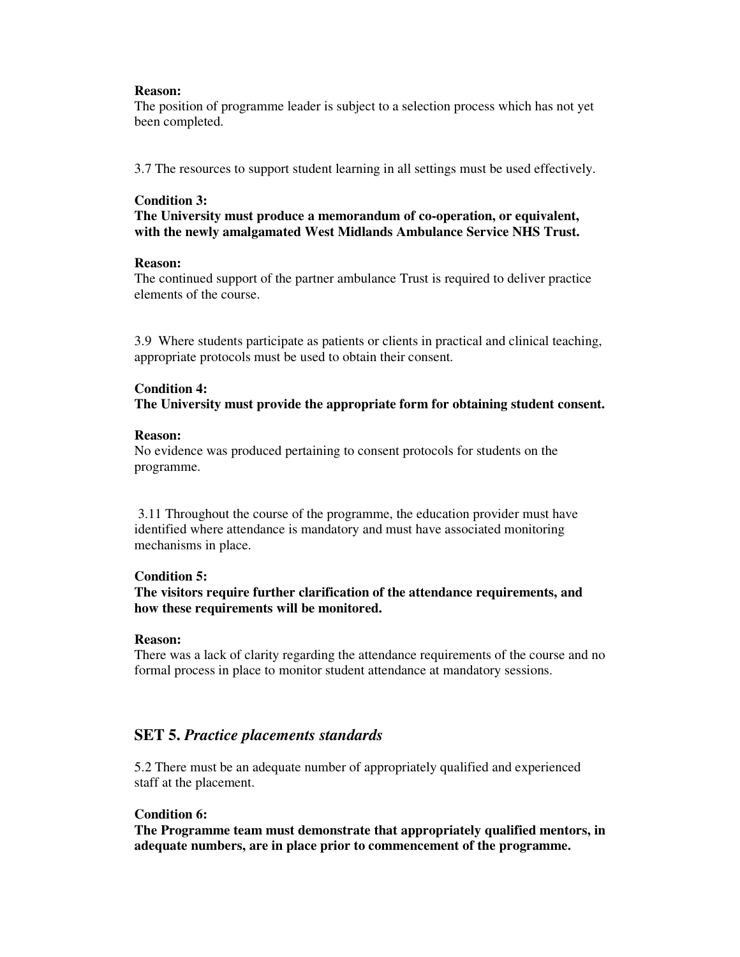#### **Reason:**

The position of programme leader is subject to a selection process which has not yet been completed.

3.7 The resources to support student learning in all settings must be used effectively.

## **Condition 3:**

**The University must produce a memorandum of co-operation, or equivalent, with the newly amalgamated West Midlands Ambulance Service NHS Trust.** 

#### **Reason:**

The continued support of the partner ambulance Trust is required to deliver practice elements of the course.

3.9 Where students participate as patients or clients in practical and clinical teaching, appropriate protocols must be used to obtain their consent.

#### **Condition 4:**

**The University must provide the appropriate form for obtaining student consent.** 

#### **Reason:**

No evidence was produced pertaining to consent protocols for students on the programme.

 3.11 Throughout the course of the programme, the education provider must have identified where attendance is mandatory and must have associated monitoring mechanisms in place.

## **Condition 5:**

## **The visitors require further clarification of the attendance requirements, and how these requirements will be monitored.**

## **Reason:**

There was a lack of clarity regarding the attendance requirements of the course and no formal process in place to monitor student attendance at mandatory sessions.

# **SET 5.** *Practice placements standards*

5.2 There must be an adequate number of appropriately qualified and experienced staff at the placement.

## **Condition 6:**

**The Programme team must demonstrate that appropriately qualified mentors, in adequate numbers, are in place prior to commencement of the programme.**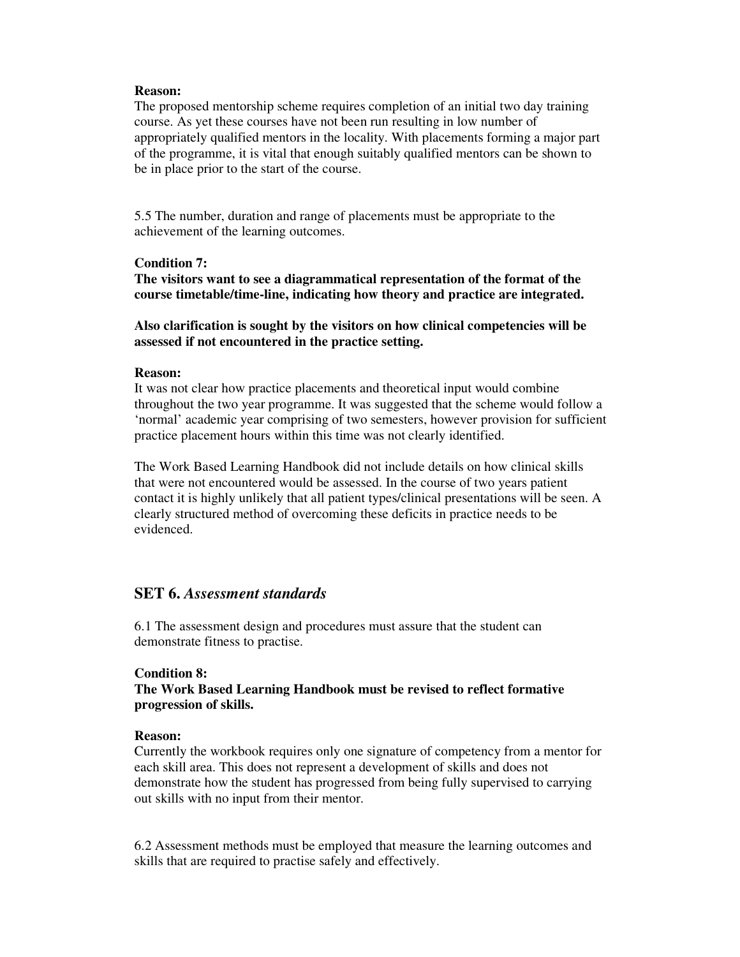#### **Reason:**

The proposed mentorship scheme requires completion of an initial two day training course. As yet these courses have not been run resulting in low number of appropriately qualified mentors in the locality. With placements forming a major part of the programme, it is vital that enough suitably qualified mentors can be shown to be in place prior to the start of the course.

5.5 The number, duration and range of placements must be appropriate to the achievement of the learning outcomes.

#### **Condition 7:**

**The visitors want to see a diagrammatical representation of the format of the course timetable/time-line, indicating how theory and practice are integrated.** 

**Also clarification is sought by the visitors on how clinical competencies will be assessed if not encountered in the practice setting.** 

#### **Reason:**

It was not clear how practice placements and theoretical input would combine throughout the two year programme. It was suggested that the scheme would follow a 'normal' academic year comprising of two semesters, however provision for sufficient practice placement hours within this time was not clearly identified.

The Work Based Learning Handbook did not include details on how clinical skills that were not encountered would be assessed. In the course of two years patient contact it is highly unlikely that all patient types/clinical presentations will be seen. A clearly structured method of overcoming these deficits in practice needs to be evidenced.

# **SET 6.** *Assessment standards*

6.1 The assessment design and procedures must assure that the student can demonstrate fitness to practise.

#### **Condition 8:**

**The Work Based Learning Handbook must be revised to reflect formative progression of skills.** 

#### **Reason:**

Currently the workbook requires only one signature of competency from a mentor for each skill area. This does not represent a development of skills and does not demonstrate how the student has progressed from being fully supervised to carrying out skills with no input from their mentor.

6.2 Assessment methods must be employed that measure the learning outcomes and skills that are required to practise safely and effectively.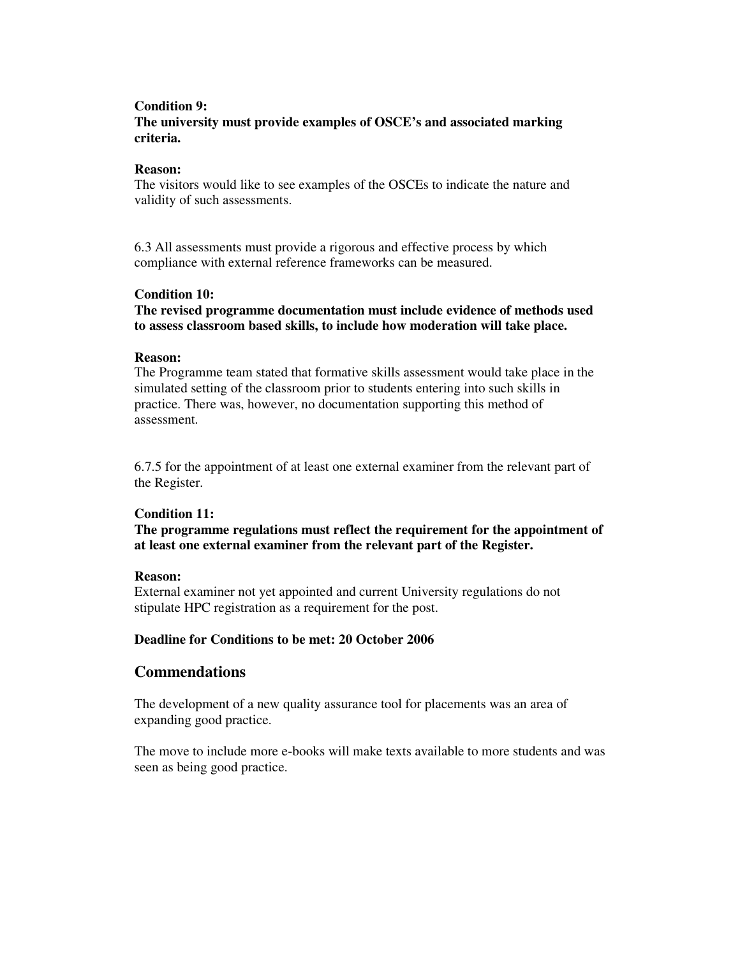## **Condition 9:**

# **The university must provide examples of OSCE's and associated marking criteria.**

#### **Reason:**

The visitors would like to see examples of the OSCEs to indicate the nature and validity of such assessments.

6.3 All assessments must provide a rigorous and effective process by which compliance with external reference frameworks can be measured.

## **Condition 10:**

**The revised programme documentation must include evidence of methods used to assess classroom based skills, to include how moderation will take place.** 

#### **Reason:**

The Programme team stated that formative skills assessment would take place in the simulated setting of the classroom prior to students entering into such skills in practice. There was, however, no documentation supporting this method of assessment.

6.7.5 for the appointment of at least one external examiner from the relevant part of the Register.

## **Condition 11:**

**The programme regulations must reflect the requirement for the appointment of at least one external examiner from the relevant part of the Register.** 

#### **Reason:**

External examiner not yet appointed and current University regulations do not stipulate HPC registration as a requirement for the post.

## **Deadline for Conditions to be met: 20 October 2006**

# **Commendations**

The development of a new quality assurance tool for placements was an area of expanding good practice.

The move to include more e-books will make texts available to more students and was seen as being good practice.